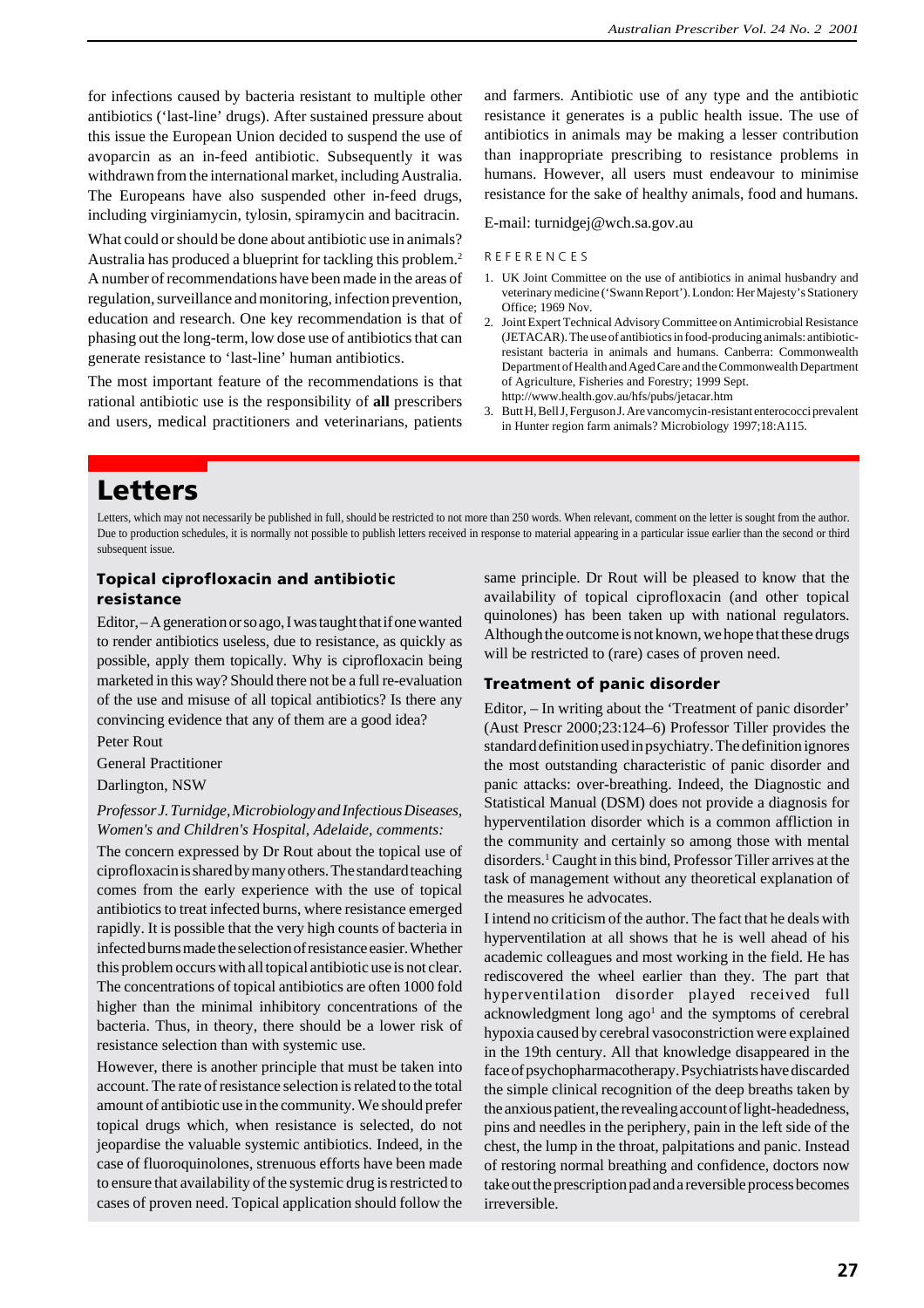for infections caused by bacteria resistant to multiple other antibiotics ('last-line' drugs). After sustained pressure about this issue the European Union decided to suspend the use of avoparcin as an in-feed antibiotic. Subsequently it was withdrawn from the international market, including Australia. The Europeans have also suspended other in-feed drugs, including virginiamycin, tylosin, spiramycin and bacitracin.

What could or should be done about antibiotic use in animals? Australia has produced a blueprint for tackling this problem.2 A number of recommendations have been made in the areas of regulation, surveillance and monitoring, infection prevention, education and research. One key recommendation is that of phasing out the long-term, low dose use of antibiotics that can generate resistance to 'last-line' human antibiotics.

The most important feature of the recommendations is that rational antibiotic use is the responsibility of **all** prescribers and users, medical practitioners and veterinarians, patients

and farmers. Antibiotic use of any type and the antibiotic resistance it generates is a public health issue. The use of antibiotics in animals may be making a lesser contribution than inappropriate prescribing to resistance problems in humans. However, all users must endeavour to minimise resistance for the sake of healthy animals, food and humans.

#### E-mail: turnidgej@wch.sa.gov.au

#### R E F E R E N C E S

- 1. UK Joint Committee on the use of antibiotics in animal husbandry and veterinary medicine ('Swann Report'). London: Her Majesty's Stationery Office; 1969 Nov.
- 2. Joint Expert Technical Advisory Committee on Antimicrobial Resistance (JETACAR). The use of antibiotics in food-producing animals: antibioticresistant bacteria in animals and humans. Canberra: Commonwealth Department of Health and Aged Care and the Commonwealth Department of Agriculture, Fisheries and Forestry; 1999 Sept. http://www.health.gov.au/hfs/pubs/jetacar.htm
- 3. Butt H, Bell J, Ferguson J. Are vancomycin-resistant enterococci prevalent in Hunter region farm animals? Microbiology 1997;18:A115.

# **Letters**

Letters, which may not necessarily be published in full, should be restricted to not more than 250 words. When relevant, comment on the letter is sought from the author. Due to production schedules, it is normally not possible to publish letters received in response to material appearing in a particular issue earlier than the second or third subsequent issue.

# **Topical ciprofloxacin and antibiotic resistance**

Editor, – A generation or so ago, I was taught that if one wanted to render antibiotics useless, due to resistance, as quickly as possible, apply them topically. Why is ciprofloxacin being marketed in this way? Should there not be a full re-evaluation of the use and misuse of all topical antibiotics? Is there any convincing evidence that any of them are a good idea?

Peter Rout

General Practitioner Darlington, NSW

# *Professor J. Turnidge, Microbiology and Infectious Diseases, Women's and Children's Hospital, Adelaide, comments:*

The concern expressed by Dr Rout about the topical use of ciprofloxacin is shared by many others. The standard teaching comes from the early experience with the use of topical antibiotics to treat infected burns, where resistance emerged rapidly. It is possible that the very high counts of bacteria in infected burns made the selection of resistance easier. Whether this problem occurs with all topical antibiotic use is not clear. The concentrations of topical antibiotics are often 1000 fold higher than the minimal inhibitory concentrations of the bacteria. Thus, in theory, there should be a lower risk of resistance selection than with systemic use.

However, there is another principle that must be taken into account. The rate of resistance selection is related to the total amount of antibiotic use in the community. We should prefer topical drugs which, when resistance is selected, do not jeopardise the valuable systemic antibiotics. Indeed, in the case of fluoroquinolones, strenuous efforts have been made to ensure that availability of the systemic drug is restricted to cases of proven need. Topical application should follow the same principle. Dr Rout will be pleased to know that the availability of topical ciprofloxacin (and other topical quinolones) has been taken up with national regulators. Although the outcome is not known, we hope that these drugs will be restricted to (rare) cases of proven need.

### **Treatment of panic disorder**

Editor, – In writing about the 'Treatment of panic disorder' (Aust Prescr 2000;23:124–6) Professor Tiller provides the standard definition used in psychiatry. The definition ignores the most outstanding characteristic of panic disorder and panic attacks: over-breathing. Indeed, the Diagnostic and Statistical Manual (DSM) does not provide a diagnosis for hyperventilation disorder which is a common affliction in the community and certainly so among those with mental disorders.1 Caught in this bind, Professor Tiller arrives at the task of management without any theoretical explanation of the measures he advocates.

I intend no criticism of the author. The fact that he deals with hyperventilation at all shows that he is well ahead of his academic colleagues and most working in the field. He has rediscovered the wheel earlier than they. The part that hyperventilation disorder played received full acknowledgment long ago<sup>1</sup> and the symptoms of cerebral hypoxia caused by cerebral vasoconstriction were explained in the 19th century. All that knowledge disappeared in the face of psychopharmacotherapy. Psychiatrists have discarded the simple clinical recognition of the deep breaths taken by the anxious patient, the revealing account of light-headedness, pins and needles in the periphery, pain in the left side of the chest, the lump in the throat, palpitations and panic. Instead of restoring normal breathing and confidence, doctors now take out the prescription pad and a reversible process becomes irreversible.